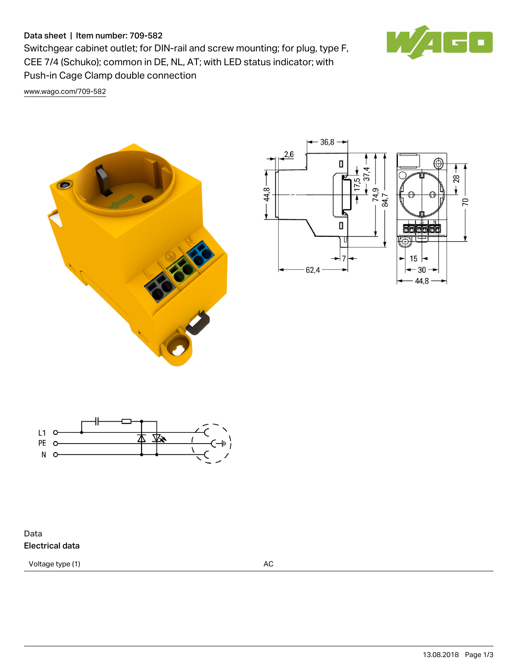## Data sheet | Item number: 709-582

Switchgear cabinet outlet; for DIN-rail and screw mounting; for plug, type F, CEE 7/4 (Schuko); common in DE, NL, AT; with LED status indicator; with Push-in Cage Clamp double connection

 $\blacksquare$ 

[www.wago.com/709-582](http://www.wago.com/709-582)







Data Electrical data

Voltage type (1) and the contract of the contract of the contract of the contract of the contract of the contract of the contract of the contract of the contract of the contract of the contract of the contract of the contr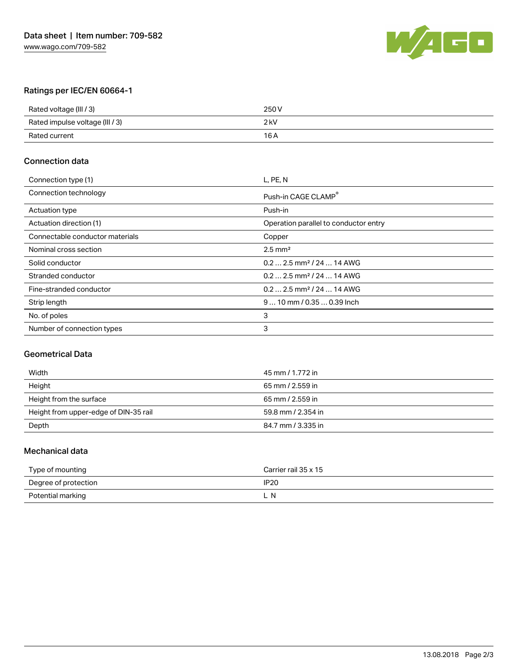

# Ratings per IEC/EN 60664-1

| Rated voltage (III / 3)         | 250 V  |
|---------------------------------|--------|
| Rated impulse voltage (III / 3) | $2$ kV |
| Rated current                   | 16 A   |

#### Connection data

| Connection type (1)             | L, PE, N                               |
|---------------------------------|----------------------------------------|
| Connection technology           | Push-in CAGE CLAMP                     |
| Actuation type                  | Push-in                                |
| Actuation direction (1)         | Operation parallel to conductor entry  |
| Connectable conductor materials | Copper                                 |
| Nominal cross section           | $2.5$ mm <sup>2</sup>                  |
| Solid conductor                 | $0.2$ 2.5 mm <sup>2</sup> / 24  14 AWG |
| Stranded conductor              | $0.2$ 2.5 mm <sup>2</sup> / 24  14 AWG |
| Fine-stranded conductor         | $0.2$ 2.5 mm <sup>2</sup> / 24  14 AWG |
| Strip length                    | $910$ mm / 0.35  0.39 lnch             |
| No. of poles                    | 3                                      |
| Number of connection types      | 3                                      |

## Geometrical Data

| Width                                 | 45 mm / 1.772 in   |
|---------------------------------------|--------------------|
| Height                                | 65 mm / 2.559 in   |
| Height from the surface               | 65 mm / 2.559 in   |
| Height from upper-edge of DIN-35 rail | 59.8 mm / 2.354 in |
| Depth                                 | 84.7 mm / 3.335 in |

#### Mechanical data

| Type of mounting     | Carrier rail 35 x 15 |
|----------------------|----------------------|
| Degree of protection | <b>IP20</b>          |
| Potential marking    | -N                   |